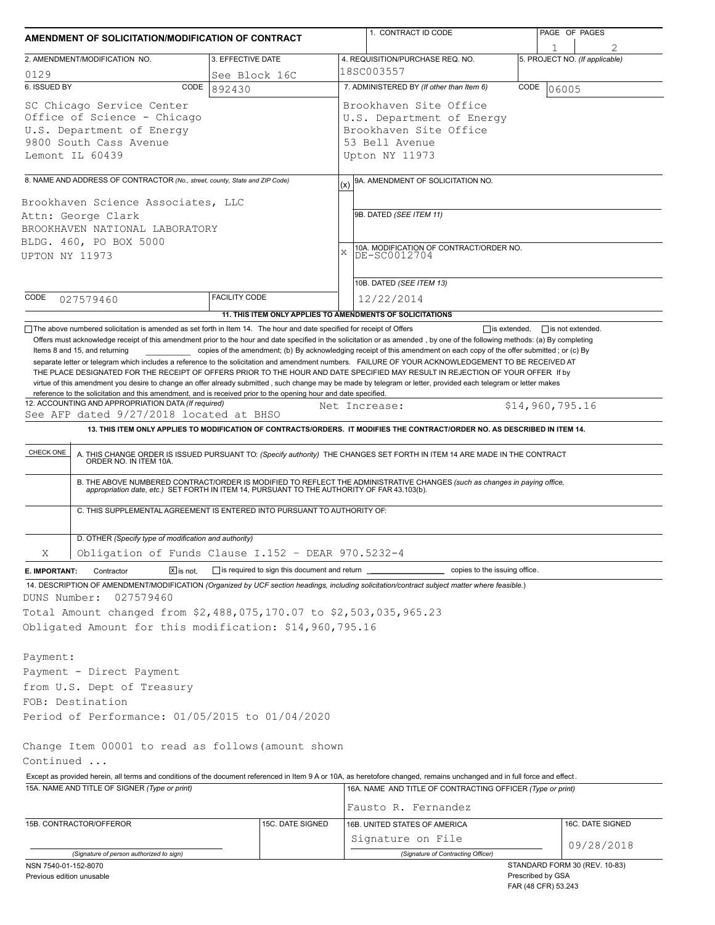| AMENDMENT OF SOLICITATION/MODIFICATION OF CONTRACT                                                                                                                                                                                                                                                                                                                                                                                                                                                                               |                                                           |               | 1. CONTRACT ID CODE                                                                                                        | PAGE OF PAGES |                                                    |  |  |  |  |
|----------------------------------------------------------------------------------------------------------------------------------------------------------------------------------------------------------------------------------------------------------------------------------------------------------------------------------------------------------------------------------------------------------------------------------------------------------------------------------------------------------------------------------|-----------------------------------------------------------|---------------|----------------------------------------------------------------------------------------------------------------------------|---------------|----------------------------------------------------|--|--|--|--|
| 2. AMENDMENT/MODIFICATION NO.                                                                                                                                                                                                                                                                                                                                                                                                                                                                                                    | 3. EFFECTIVE DATE                                         |               | 4. REQUISITION/PURCHASE REQ. NO.                                                                                           |               | 5. PROJECT NO. (If applicable)                     |  |  |  |  |
| 0129                                                                                                                                                                                                                                                                                                                                                                                                                                                                                                                             | See Block 16C                                             | 18SC003557    |                                                                                                                            |               |                                                    |  |  |  |  |
| 6. ISSUED BY<br>CODE                                                                                                                                                                                                                                                                                                                                                                                                                                                                                                             | 892430                                                    |               | 7. ADMINISTERED BY (If other than Item 6)<br>CODE<br>06005                                                                 |               |                                                    |  |  |  |  |
| SC Chicago Service Center<br>Office of Science - Chicago<br>U.S. Department of Energy<br>9800 South Cass Avenue<br>Lemont IL 60439                                                                                                                                                                                                                                                                                                                                                                                               |                                                           |               | Brookhaven Site Office<br>U.S. Department of Energy<br>Brookhaven Site Office<br>53 Bell Avenue<br>Upton NY 11973          |               |                                                    |  |  |  |  |
| 8. NAME AND ADDRESS OF CONTRACTOR (No., street, county, State and ZIP Code)                                                                                                                                                                                                                                                                                                                                                                                                                                                      |                                                           |               | 9A. AMENDMENT OF SOLICITATION NO.                                                                                          |               |                                                    |  |  |  |  |
| Brookhaven Science Associates, LLC<br>Attn: George Clark<br>BROOKHAVEN NATIONAL LABORATORY<br>BLDG. 460, PO BOX 5000<br>UPTON NY 11973                                                                                                                                                                                                                                                                                                                                                                                           |                                                           |               | (x)<br>9B. DATED (SEE ITEM 11)<br>10A. MODIFICATION OF CONTRACT/ORDER NO.<br>DE-SC0012704<br>X<br>10B. DATED (SEE ITEM 13) |               |                                                    |  |  |  |  |
| CODE<br>027579460                                                                                                                                                                                                                                                                                                                                                                                                                                                                                                                | <b>FACILITY CODE</b>                                      |               | 12/22/2014                                                                                                                 |               |                                                    |  |  |  |  |
|                                                                                                                                                                                                                                                                                                                                                                                                                                                                                                                                  | 11. THIS ITEM ONLY APPLIES TO AMENDMENTS OF SOLICITATIONS |               |                                                                                                                            |               |                                                    |  |  |  |  |
| virtue of this amendment you desire to change an offer already submitted, such change may be made by telegram or letter, provided each telegram or letter makes<br>reference to the solicitation and this amendment, and is received prior to the opening hour and date specified.<br>12. ACCOUNTING AND APPROPRIATION DATA (If required)<br>See AFP dated 9/27/2018 located at BHSO<br>13. THIS ITEM ONLY APPLIES TO MODIFICATION OF CONTRACTS/ORDERS. IT MODIFIES THE CONTRACT/ORDER NO. AS DESCRIBED IN ITEM 14.<br>CHECK ONE |                                                           | Net Increase: |                                                                                                                            |               | \$14,960,795.16                                    |  |  |  |  |
| A. THIS CHANGE ORDER IS ISSUED PURSUANT TO: (Specify authority) THE CHANGES SET FORTH IN ITEM 14 ARE MADE IN THE CONTRACT ORDER NO. IN ITEM 10A.<br>B. THE ABOVE NUMBERED CONTRACT/ORDER IS MODIFIED TO REFLECT THE ADMINISTRATIVE CHANGES (such as changes in paying office,<br>appropriation date, etc.) SET FORTH IN ITEM 14, PURSUANT TO THE AUTHORITY OF FAR 43.103(b).                                                                                                                                                     |                                                           |               |                                                                                                                            |               |                                                    |  |  |  |  |
| C. THIS SUPPLEMENTAL AGREEMENT IS ENTERED INTO PURSUANT TO AUTHORITY OF:                                                                                                                                                                                                                                                                                                                                                                                                                                                         |                                                           |               |                                                                                                                            |               |                                                    |  |  |  |  |
| D. OTHER (Specify type of modification and authority)                                                                                                                                                                                                                                                                                                                                                                                                                                                                            |                                                           |               |                                                                                                                            |               |                                                    |  |  |  |  |
| Obligation of Funds Clause I.152 - DEAR 970.5232-4<br>Χ                                                                                                                                                                                                                                                                                                                                                                                                                                                                          |                                                           |               |                                                                                                                            |               |                                                    |  |  |  |  |
| $\boxed{\mathsf{X}}$ is not.<br>Contractor<br>E. IMPORTANT:                                                                                                                                                                                                                                                                                                                                                                                                                                                                      | is required to sign this document and return              |               | copies to the issuing office.                                                                                              |               |                                                    |  |  |  |  |
| 14. DESCRIPTION OF AMENDMENT/MODIFICATION (Organized by UCF section headings, including solicitation/contract subject matter where feasible.)<br>DUNS Number:<br>027579460<br>Total Amount changed from \$2,488,075,170.07 to \$2,503,035,965.23<br>Obligated Amount for this modification: \$14,960,795.16                                                                                                                                                                                                                      |                                                           |               |                                                                                                                            |               |                                                    |  |  |  |  |
| Payment:<br>Payment - Direct Payment<br>from U.S. Dept of Treasury<br>FOB: Destination<br>Period of Performance: 01/05/2015 to 01/04/2020                                                                                                                                                                                                                                                                                                                                                                                        |                                                           |               |                                                                                                                            |               |                                                    |  |  |  |  |
| Change Item 00001 to read as follows (amount shown                                                                                                                                                                                                                                                                                                                                                                                                                                                                               |                                                           |               |                                                                                                                            |               |                                                    |  |  |  |  |
| Continued                                                                                                                                                                                                                                                                                                                                                                                                                                                                                                                        |                                                           |               |                                                                                                                            |               |                                                    |  |  |  |  |
| Except as provided herein, all terms and conditions of the document referenced in Item 9 A or 10A, as heretofore changed, remains unchanged and in full force and effect.<br>15A. NAME AND TITLE OF SIGNER (Type or print)                                                                                                                                                                                                                                                                                                       |                                                           |               | 16A. NAME AND TITLE OF CONTRACTING OFFICER (Type or print)                                                                 |               |                                                    |  |  |  |  |
|                                                                                                                                                                                                                                                                                                                                                                                                                                                                                                                                  |                                                           |               | Fausto R. Fernandez                                                                                                        |               |                                                    |  |  |  |  |
| 16B. UNITED STATES OF AMERICA<br>15B. CONTRACTOR/OFFEROR<br>15C. DATE SIGNED                                                                                                                                                                                                                                                                                                                                                                                                                                                     |                                                           |               |                                                                                                                            |               | 16C. DATE SIGNED                                   |  |  |  |  |
|                                                                                                                                                                                                                                                                                                                                                                                                                                                                                                                                  |                                                           |               | Signature on File                                                                                                          |               | 09/28/2018                                         |  |  |  |  |
| (Signature of person authorized to sign)                                                                                                                                                                                                                                                                                                                                                                                                                                                                                         |                                                           |               | (Signature of Contracting Officer)                                                                                         |               |                                                    |  |  |  |  |
| NSN 7540-01-152-8070<br>Previous edition unusable                                                                                                                                                                                                                                                                                                                                                                                                                                                                                |                                                           |               |                                                                                                                            |               | STANDARD FORM 30 (REV. 10-83)<br>Prescribed by GSA |  |  |  |  |

FAR (48 CFR) 53.243